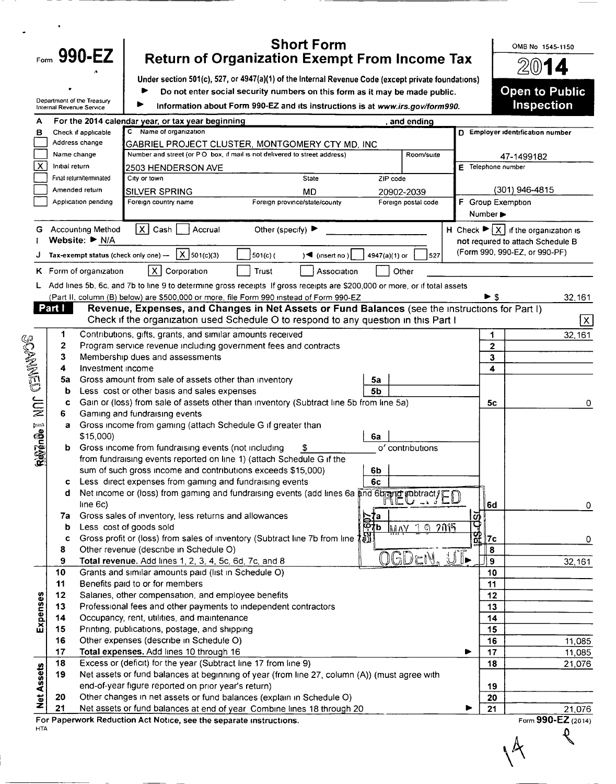|                   |                          | <b>Short Form</b><br>Form $990-EZ$<br><b>Return of Organization Exempt From Income Tax</b>                                                                                                 |                    | OMB No 1545-1150                                                    |
|-------------------|--------------------------|--------------------------------------------------------------------------------------------------------------------------------------------------------------------------------------------|--------------------|---------------------------------------------------------------------|
|                   |                          | Under section 501(c), 527, or 4947(a)(1) of the Internal Revenue Code (except private foundations)                                                                                         |                    |                                                                     |
|                   |                          | Do not enter social security numbers on this form as it may be made public.                                                                                                                |                    | <b>Open to Public</b>                                               |
|                   | Internal Revenue Service | Department of the Treasury<br>Information about Form 990-EZ and its instructions is at www.irs.gov/form990.                                                                                |                    | <b>Inspection</b>                                                   |
| A                 |                          | For the 2014 calendar year, or tax year beginning<br>and ending                                                                                                                            |                    |                                                                     |
| в                 |                          | C Name of organization<br>Check if applicable                                                                                                                                              |                    | D Employer identification number                                    |
|                   | Name change              | Address change<br>GABRIEL PROJECT CLUSTER, MONTGOMERY CTY MD, INC<br>Number and street (or PO box, if mail is not delivered to street address)<br>Room/suite                               |                    |                                                                     |
| Х                 | Initial return           | 2503 HENDERSON AVE                                                                                                                                                                         | E Telephone number | 47-1499182                                                          |
|                   |                          | Final return/terminated<br>City or town<br><b>State</b><br>ZIP code                                                                                                                        |                    |                                                                     |
|                   |                          | Amended return<br><b>MD</b><br><b>SILVER SPRING</b><br>20902-2039                                                                                                                          |                    | (301) 946-4815                                                      |
|                   |                          | Application pending<br>Foreign province/state/county<br>Foreign country name<br>Foreign postal code                                                                                        | F Group Exemption  |                                                                     |
|                   |                          |                                                                                                                                                                                            | Number >           |                                                                     |
| G                 |                          | X Cash<br><b>Accounting Method</b><br>Other (specify) ▶<br>Accrual                                                                                                                         |                    | H Check $\blacktriangleright$ $\overline{X}$ if the organization is |
|                   |                          | Website: ▶ N/A                                                                                                                                                                             |                    | not required to attach Schedule B<br>(Form 990, 990-EZ, or 990-PF)  |
|                   |                          | $ X _{501(c)(3)}$<br>501(c)(<br>Tax-exempt status (check only one) -<br>$\sqrt{4}$ (insert no)<br>4947(a)(1) or<br>527                                                                     |                    |                                                                     |
|                   |                          | $\vert$ X $\vert$<br>Corporation<br><b>Trust</b><br>K Form of organization<br>Association<br>Other                                                                                         |                    |                                                                     |
|                   |                          | Add lines 5b, 6c, and 7b to line 9 to determine gross receipts If gross receipts are \$200,000 or more, or if total assets                                                                 |                    |                                                                     |
|                   | Part I                   | (Part II, column (B) below) are \$500,000 or more, file Form 990 instead of Form 990-EZ<br>Revenue, Expenses, and Changes in Net Assets or Fund Balances (see the instructions for Part I) | ► \$               | 32,161                                                              |
|                   |                          | Check if the organization used Schedule O to respond to any question in this Part I                                                                                                        |                    | ΙX.                                                                 |
|                   | 1                        | Contributions, gifts, grants, and similar amounts received                                                                                                                                 | 1                  | 32,161                                                              |
|                   | 2                        | Program service revenue including government fees and contracts                                                                                                                            | $\overline{2}$     |                                                                     |
|                   | 3                        | Membership dues and assessments                                                                                                                                                            | 3                  |                                                                     |
|                   | 4<br>5a                  | Investment income<br>Gross amount from sale of assets other than inventory<br>5a                                                                                                           | $\blacktriangle$   |                                                                     |
| SOPENIUS          | b                        | Less cost or other basis and sales expenses<br>5b                                                                                                                                          |                    |                                                                     |
| <b>SIDE</b>       | c                        | Gain or (loss) from sale of assets other than inventory (Subtract line 5b from line 5a)                                                                                                    | 5c                 | 0                                                                   |
|                   | 6                        | Gaming and fundraising events                                                                                                                                                              |                    |                                                                     |
|                   | a                        | Gross income from gaming (attach Schedule G if greater than                                                                                                                                |                    |                                                                     |
|                   |                          | \$15,000)<br>6a<br>Gross income from fundraising events (not including<br>o' contributions                                                                                                 |                    |                                                                     |
| Revence I         |                          | from fundraising events reported on line 1) (attach Schedule G if the                                                                                                                      |                    |                                                                     |
|                   |                          | sum of such gross income and contributions exceeds \$15,000)<br>6b                                                                                                                         |                    |                                                                     |
|                   | C                        | 6c<br>Less direct expenses from gaming and fundraising events                                                                                                                              |                    |                                                                     |
|                   | d                        | Less direct experises ironi gaming and fundraising events (add lines 6a and 6brand subtract)                                                                                               |                    |                                                                     |
|                   | 7a                       | line 6c)<br>Gross sales of inventory, less returns and allowances<br>ľa                                                                                                                    | 6d                 | 0                                                                   |
|                   | b                        | 1 ต 2การ<br>Less cost of goods sold<br>MAN                                                                                                                                                 |                    |                                                                     |
|                   | c                        | Gross profit or (loss) from sales of inventory (Subtract line 7b from line 1a)                                                                                                             | $\frac{101}{9}$ 7c | 0                                                                   |
|                   | 8                        | Other revenue (describe in Schedule O)<br>∐►<br>OGDEN.<br>1                                                                                                                                | 8                  |                                                                     |
|                   | 9<br>10                  | Total revenue. Add lines 1, 2, 3, 4, 5c, 6d, 7c, and 8<br>Grants and similar amounts paid (list in Schedule O)                                                                             | 9<br>10            | 32,161                                                              |
|                   | 11                       | Benefits paid to or for members                                                                                                                                                            | 11                 |                                                                     |
|                   | 12                       | Salaries, other compensation, and employee benefits                                                                                                                                        | 12                 |                                                                     |
|                   | 13                       | Professional fees and other payments to independent contractors                                                                                                                            | 13                 |                                                                     |
| Expenses          | 14                       | Occupancy, rent, utilities, and maintenance                                                                                                                                                | 14                 |                                                                     |
|                   | 15<br>16                 | Printing, publications, postage, and shipping<br>Other expenses (describe in Schedule O)                                                                                                   | 15<br>16           | 11,085                                                              |
|                   | 17                       | Total expenses. Add lines 10 through 16                                                                                                                                                    | 17<br>▶            | 11,085                                                              |
|                   | 18                       | Excess or (deficit) for the year (Subtract line 17 from line 9)                                                                                                                            | 18                 | 21,076                                                              |
| <b>Net Assets</b> | 19                       | Net assets or fund balances at beginning of year (from line 27, column (A)) (must agree with                                                                                               |                    |                                                                     |
|                   |                          | end-of-year figure reported on prior year's return)                                                                                                                                        | 19                 |                                                                     |
|                   | 20<br>21                 | Other changes in net assets or fund balances (explain in Schedule O)<br>Net assets or fund balances at end of year Combine lines 18 through 20                                             | 20<br>21           | 21,076                                                              |
|                   |                          | For Paperwork Reduction Act Notice, see the separate instructions.                                                                                                                         |                    | Form 990-EZ (2014)                                                  |
| <b>HTA</b>        |                          |                                                                                                                                                                                            |                    |                                                                     |
|                   |                          |                                                                                                                                                                                            |                    |                                                                     |

Ξ 

 $\ddot{\phantom{1}}$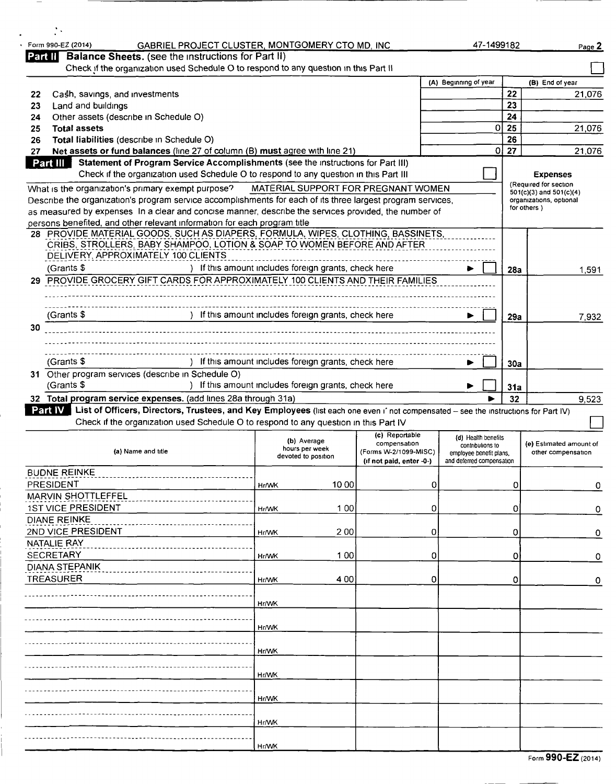|    | Form 990-EZ (2014)<br>GABRIEL PROJECT CLUSTER, MONTGOMERY CTO MD, INC.                                                                                                                |              |                                                      |                                     |                           | 47-1499182       |      | Page 2                                                 |
|----|---------------------------------------------------------------------------------------------------------------------------------------------------------------------------------------|--------------|------------------------------------------------------|-------------------------------------|---------------------------|------------------|------|--------------------------------------------------------|
|    | Part II Balance Sheets. (see the instructions for Part II)<br>Check if the organization used Schedule O to respond to any question in this Part II                                    |              |                                                      |                                     |                           |                  |      |                                                        |
|    |                                                                                                                                                                                       |              |                                                      |                                     | (A) Beginning of year     |                  |      | (B) End of year                                        |
| 22 | Cash, savings, and investments                                                                                                                                                        |              |                                                      |                                     |                           |                  | 22   | 21,076                                                 |
| 23 | Land and buildings                                                                                                                                                                    |              |                                                      |                                     |                           |                  | 23   |                                                        |
| 24 | Other assets (describe in Schedule O)                                                                                                                                                 |              |                                                      |                                     |                           |                  | 24   |                                                        |
| 25 | <b>Total assets</b>                                                                                                                                                                   |              |                                                      |                                     |                           | 0                | 25   | 21,076                                                 |
| 26 | Total liabilities (describe in Schedule O)                                                                                                                                            |              |                                                      |                                     |                           |                  | 26   |                                                        |
| 27 | Net assets or fund balances (line 27 of column (B) must agree with line 21)                                                                                                           |              |                                                      |                                     |                           |                  | 0 27 | 21,076                                                 |
|    | Part III<br>Statement of Program Service Accomplishments (see the instructions for Part III)<br>Check if the organization used Schedule O to respond to any question in this Part III |              |                                                      |                                     |                           |                  |      | <b>Expenses</b>                                        |
|    |                                                                                                                                                                                       |              |                                                      |                                     |                           |                  |      | (Required for section                                  |
|    | What is the organization's primary exempt purpose?<br>Describe the organization's program service accomplishments for each of its three largest program services,                     |              |                                                      | MATERIAL SUPPORT FOR PREGNANT WOMEN |                           |                  |      | $501(c)(3)$ and $501(c)(4)$<br>organizations, optional |
|    | as measured by expenses In a clear and concise manner, describe the services provided, the number of                                                                                  |              |                                                      |                                     |                           |                  |      | for others)                                            |
|    | persons benefited, and other relevant information for each program title                                                                                                              |              |                                                      |                                     |                           |                  |      |                                                        |
|    | 28 PROVIDE MATERIAL GOODS, SUCH AS DIAPERS, FORMULA, WIPES, CLOTHING, BASSINETS,                                                                                                      |              |                                                      |                                     |                           |                  |      |                                                        |
|    | CRIBS, STROLLERS, BABY SHAMPOO, LOTION & SOAP TO WOMEN BEFORE AND AFTER                                                                                                               |              |                                                      |                                     |                           |                  |      |                                                        |
|    | DELIVERY, APPROXIMATELY 100 CLIENTS                                                                                                                                                   |              |                                                      |                                     |                           |                  |      |                                                        |
|    | (Grants \$                                                                                                                                                                            |              | ) If this amount includes foreign grants, check here |                                     |                           |                  | 28a  | 1,591                                                  |
|    | 29 PROVIDE GROCERY GIFT CARDS FOR APPROXIMATELY 100 CLIENTS AND THEIR FAMILIES                                                                                                        |              |                                                      |                                     |                           |                  |      |                                                        |
|    |                                                                                                                                                                                       |              |                                                      |                                     |                           |                  |      |                                                        |
|    | (Grants \$                                                                                                                                                                            |              | ) If this amount includes foreign grants, check here |                                     |                           |                  |      |                                                        |
| 30 |                                                                                                                                                                                       |              |                                                      |                                     |                           |                  | 29a  | 7,932                                                  |
|    |                                                                                                                                                                                       |              |                                                      |                                     |                           |                  |      |                                                        |
|    |                                                                                                                                                                                       |              |                                                      |                                     |                           |                  |      |                                                        |
|    | (Grants \$                                                                                                                                                                            |              | If this amount includes foreign grants, check here   |                                     |                           |                  | 30a  |                                                        |
|    | 31 Other program services (describe in Schedule O)                                                                                                                                    |              |                                                      |                                     |                           |                  |      |                                                        |
|    | (Grants \$<br>If this amount includes foreign grants, check here                                                                                                                      |              |                                                      |                                     |                           |                  |      |                                                        |
|    |                                                                                                                                                                                       |              |                                                      |                                     |                           |                  | 31a  |                                                        |
|    | 32 Total program service expenses. (add lines 28a through 31a)                                                                                                                        |              |                                                      |                                     |                           |                  | 32   | 9,523                                                  |
|    | Part IV   List of Officers, Directors, Trustees, and Key Employees (list each one even i' not compensated - see the instructions for Part IV)                                         |              |                                                      |                                     |                           |                  |      |                                                        |
|    | Check if the organization used Schedule O to respond to any question in this Part IV                                                                                                  |              |                                                      |                                     |                           |                  |      |                                                        |
|    |                                                                                                                                                                                       |              | (b) Average                                          | (c) Reportable<br>compensation      | (d) Health benefits       | contributions to |      | (e) Estimated amount of                                |
|    | (a) Name and title                                                                                                                                                                    |              | hours per week<br>devoted to position                | (Forms W-2/1099-MISC)               | employee benefit plans.   |                  |      | other compensation                                     |
|    |                                                                                                                                                                                       |              |                                                      | (if not paid, enter -0-)            | and deferred compensation |                  |      |                                                        |
|    | <b>BUDNE REINKE</b>                                                                                                                                                                   |              |                                                      |                                     |                           |                  |      |                                                        |
|    | PRESIDENT                                                                                                                                                                             | <b>Hr/WK</b> | 10 00                                                | 0                                   |                           |                  | 0    | 0                                                      |
|    | MARVIN SHOTTLEFFEL<br><b>1ST VICE PRESIDENT</b>                                                                                                                                       |              |                                                      |                                     |                           |                  |      |                                                        |
|    | <b>DIANE REINKE</b>                                                                                                                                                                   | Hr/WK        | 100                                                  | 0                                   |                           |                  | 0    | 0                                                      |
|    | 2ND VICE PRESIDENT                                                                                                                                                                    | <b>Hr/WK</b> | 200                                                  | 0                                   |                           |                  | 0    | 0                                                      |
|    | NATALIE RAY                                                                                                                                                                           |              |                                                      |                                     |                           |                  |      |                                                        |
|    | <b>SECRETARY</b>                                                                                                                                                                      | Hr/WK        | 100                                                  | 0                                   |                           |                  | O    | 0                                                      |
|    | DIANA STEPANIK                                                                                                                                                                        |              |                                                      |                                     |                           |                  |      |                                                        |
|    | <b>TREASURER</b>                                                                                                                                                                      | <b>Hr/WK</b> | 400                                                  | 0                                   |                           |                  | 0    | 0                                                      |
|    |                                                                                                                                                                                       |              |                                                      |                                     |                           |                  |      |                                                        |
|    |                                                                                                                                                                                       | Hr/WK        |                                                      |                                     |                           |                  |      |                                                        |
|    |                                                                                                                                                                                       |              |                                                      |                                     |                           |                  |      |                                                        |
|    |                                                                                                                                                                                       | <b>Hr/WK</b> |                                                      |                                     |                           |                  |      |                                                        |
|    |                                                                                                                                                                                       |              |                                                      |                                     |                           |                  |      |                                                        |
|    |                                                                                                                                                                                       | <b>Hr/WK</b> |                                                      |                                     |                           |                  |      |                                                        |
|    |                                                                                                                                                                                       | <b>Hr/WK</b> |                                                      |                                     |                           |                  |      |                                                        |
|    |                                                                                                                                                                                       |              |                                                      |                                     |                           |                  |      |                                                        |
|    |                                                                                                                                                                                       | <b>Hr/WK</b> |                                                      |                                     |                           |                  |      |                                                        |
|    |                                                                                                                                                                                       |              |                                                      |                                     |                           |                  |      |                                                        |
|    |                                                                                                                                                                                       | Hr/WK        |                                                      |                                     |                           |                  |      |                                                        |
|    |                                                                                                                                                                                       |              |                                                      |                                     |                           |                  |      |                                                        |

 $\ddot{\phantom{a}}$  $\ddot{\phantom{a}}$ 

Form 990-EZ (2014)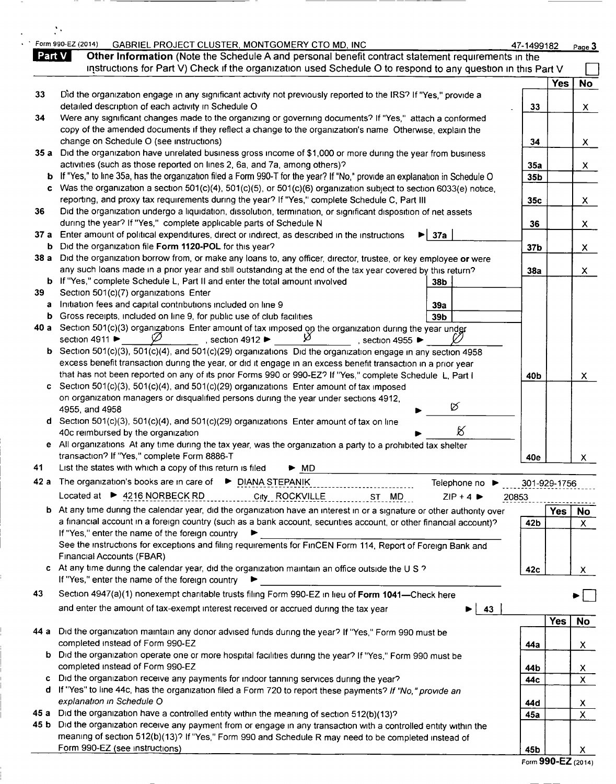|      | GABRIEL PROJECT CLUSTER, MONTGOMERY CTO MD, INC<br>Part V<br>Other Information (Note the Schedule A and personal benefit contract statement requirements in the                             |                 | 47-1499182      |            | Page 3         |
|------|---------------------------------------------------------------------------------------------------------------------------------------------------------------------------------------------|-----------------|-----------------|------------|----------------|
|      | instructions for Part V) Check if the organization used Schedule O to respond to any question in this Part V                                                                                |                 |                 |            |                |
|      |                                                                                                                                                                                             |                 |                 | <b>Yes</b> | <b>No</b>      |
| 33   | Did the organization engage in any significant activity not previously reported to the IRS? If "Yes," provide a                                                                             |                 |                 |            |                |
| 34   | detailed description of each activity in Schedule O<br>Were any significant changes made to the organizing or governing documents? If "Yes," attach a conformed                             |                 | 33              |            | $\mathsf{X}$   |
|      | copy of the amended documents if they reflect a change to the organization's name Otherwise, explain the                                                                                    |                 |                 |            |                |
|      | change on Schedule O (see instructions)                                                                                                                                                     |                 | 34              |            | X.             |
| 35 a | Did the organization have unrelated business gross income of \$1,000 or more during the year from business                                                                                  |                 |                 |            |                |
|      | activities (such as those reported on lines 2, 6a, and 7a, among others)?                                                                                                                   |                 | 35a             |            | X.             |
|      | <b>b</b> If "Yes," to line 35a, has the organization filed a Form 990-T for the year? If "No," provide an explanation in Schedule O                                                         |                 | 35b             |            |                |
| c    | Was the organization a section 501(c)(4), 501(c)(5), or 501(c)(6) organization subject to section 6033(e) notice,                                                                           |                 |                 |            |                |
|      | reporting, and proxy tax requirements during the year? If "Yes," complete Schedule C, Part III                                                                                              |                 | 35c             |            | X.             |
| 36   | Did the organization undergo a liquidation, dissolution, termination, or significant disposition of net assets<br>during the year? If "Yes," complete applicable parts of Schedule N        |                 |                 |            |                |
|      | 37 a Enter amount of political expenditures, direct or indirect, as described in the instructions                                                                                           | 37a             | 36              |            | $\mathsf{X}^-$ |
|      | b Did the organization file Form 1120-POL for this year?                                                                                                                                    |                 | 37 <sub>b</sub> |            | $\mathsf{X}$   |
| 38 a | Did the organization borrow from, or make any loans to, any officer, director, trustee, or key employee or were                                                                             |                 |                 |            |                |
|      | any such loans made in a prior year and still outstanding at the end of the tax year covered by this return?                                                                                |                 | 38a             |            | $\mathsf{X}$   |
|      | b If "Yes," complete Schedule L, Part II and enter the total amount involved                                                                                                                | 38b             |                 |            |                |
| 39   | Section 501(c)(7) organizations Enter                                                                                                                                                       |                 |                 |            |                |
| a    | Initiation fees and capital contributions included on line 9                                                                                                                                | 39a             |                 |            |                |
| b    | Gross receipts, included on line 9, for public use of club facilities                                                                                                                       | 39 <sub>b</sub> |                 |            |                |
|      | 40 a Section 501(c)(3) organizations Enter amount of tax imposed on the organization during the year under<br>Ω<br>section 4911 ▶<br>, section 4912 $\blacktriangleright$<br>section 4955 ▶ |                 |                 |            |                |
|      | $\mathbf b$ Section 501(c)(3), 501(c)(4), and 501(c)(29) organizations Did the organization engage in any section 4958                                                                      |                 |                 |            |                |
|      | excess benefit transaction during the year, or did it engage in an excess benefit transaction in a prior year                                                                               |                 |                 |            |                |
|      | that has not been reported on any of its prior Forms 990 or 990-EZ? If "Yes," complete Schedule L, Part I                                                                                   |                 | 40b             |            | X              |
| c.   | Section 501(c)(3), 501(c)(4), and 501(c)(29) organizations Enter amount of tax imposed                                                                                                      |                 |                 |            |                |
|      | on organization managers or disqualified persons during the year under sections 4912,                                                                                                       |                 |                 |            |                |
|      | 4955, and 4958                                                                                                                                                                              | Ø               |                 |            |                |
|      | d Section 501(c)(3), 501(c)(4), and 501(c)(29) organizations Enter amount of tax on line                                                                                                    | K               |                 |            |                |
|      | 40c reimbursed by the organization<br>e All organizations At any time during the tax year, was the organization a party to a prohibited tax shelter                                         |                 |                 |            |                |
|      | transaction? If "Yes," complete Form 8886-T                                                                                                                                                 |                 | 40e             |            | х              |
| 41   | List the states with which a copy of this return is filed<br>MD                                                                                                                             |                 |                 |            |                |
|      | 42 a The organization's books are in care of ▶ DIANA STEPANIK                                                                                                                               | Telephone no ▶  | 301-929-1756    |            |                |
|      | Located at ▶ 4216 NORBECK RD<br>City ROCKVILLE<br>ST MD                                                                                                                                     | $ZIP + 4$       | 20853           |            |                |
|      | b At any time during the calendar year, did the organization have an interest in or a signature or other authority over                                                                     |                 |                 | Yes        | No             |
|      | a financial account in a foreign country (such as a bank account, securities account, or other financial account)?                                                                          |                 | 42b             |            | $\mathsf X$    |
|      | If "Yes," enter the name of the foreign country<br>▸                                                                                                                                        |                 |                 |            |                |
|      | See the instructions for exceptions and filing requirements for FinCEN Form 114, Report of Foreign Bank and                                                                                 |                 |                 |            |                |
|      | Financial Accounts (FBAR)                                                                                                                                                                   |                 |                 |            |                |
|      | c At any time during the calendar year, did the organization maintain an office outside the U S ?                                                                                           |                 | 42c             |            | X.             |
|      | If "Yes," enter the name of the foreign country<br>▸                                                                                                                                        |                 |                 |            |                |
| 43   | Section 4947(a)(1) nonexempt charitable trusts filing Form 990-EZ in lieu of Form 1041-Check here                                                                                           |                 |                 |            |                |
|      | and enter the amount of tax-exempt interest received or accrued during the tax year                                                                                                         | 43<br>▶         |                 |            |                |
|      |                                                                                                                                                                                             |                 |                 | <b>Yes</b> | No             |
| 44 a | Did the organization maintain any donor advised funds during the year? If "Yes," Form 990 must be                                                                                           |                 |                 |            |                |
|      | completed instead of Form 990-EZ                                                                                                                                                            |                 | 44а             |            | $\mathsf{X}^-$ |
| b.   | Did the organization operate one or more hospital facilities during the year? If "Yes," Form 990 must be<br>completed instead of Form 990-EZ                                                |                 |                 |            |                |
|      | Did the organization receive any payments for indoor tanning services during the year?                                                                                                      |                 | 44b<br>44c      |            | $\frac{x}{x}$  |
|      | d If "Yes" to line 44c, has the organization filed a Form 720 to report these payments? If "No," provide an                                                                                 |                 |                 |            |                |
|      | explanation in Schedule O                                                                                                                                                                   |                 | 44d             |            |                |
|      |                                                                                                                                                                                             |                 |                 |            | $\frac{x}{x}$  |
| 45 a | Did the organization have a controlled entity within the meaning of section 512(b)(13)?                                                                                                     |                 | 45a             |            |                |
|      | 45 b Did the organization receive any payment from or engage in any transaction with a controlled entity within the                                                                         |                 |                 |            |                |
|      | meaning of section 512(b)(13)? If "Yes," Form 990 and Schedule R may need to be completed instead of<br>Form 990-EZ (see instructions)                                                      |                 |                 |            |                |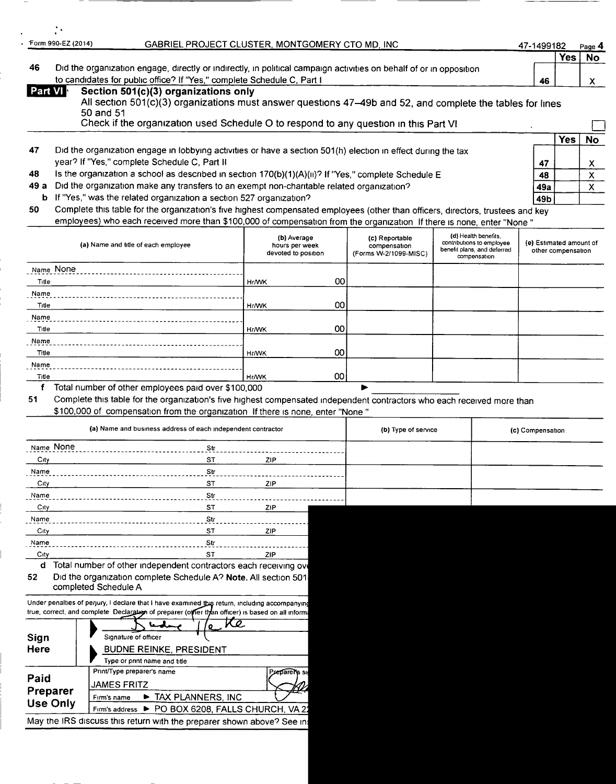| Form 990-EZ (2014) | GABRIEL PROJECT CLUSTER, MONTGOMERY CTO MD, INC.<br>47-1499182                                                      |    |       | Page 4 |  |
|--------------------|---------------------------------------------------------------------------------------------------------------------|----|-------|--------|--|
|                    |                                                                                                                     |    | Yes . | No     |  |
| 46                 | Did the organization engage, directly or indirectly, in political campaign activities on behalf of or in opposition |    |       |        |  |
|                    | to candidates for public office? If "Yes," complete Schedule C, Part I                                              | 46 |       |        |  |
| <b>Part VI</b>     | Section 501(c)(3) organizations only                                                                                |    |       |        |  |
|                    | All section 501(c)(3) organizations must answer questions 47-49b and 52, and complete the tables for lines          |    |       |        |  |
|                    | 50 and 51                                                                                                           |    |       |        |  |

|    | Check if the organization used Schedule O to respond to any question in this Part VI                          |     |      |    |
|----|---------------------------------------------------------------------------------------------------------------|-----|------|----|
|    |                                                                                                               |     | Yes. | No |
| 47 | Did the organization engage in lobbying activities or have a section 501(h) election in effect during the tax |     |      |    |
|    | year? If "Yes," complete Schedule C, Part II                                                                  | 47  |      |    |
| 48 | Is the organization a school as described in section 170(b)(1)(A)(ii)? If "Yes," complete Schedule E          | 48  |      |    |
|    | 49 a Did the organization make any transfers to an exempt non-charitable related organization?                | 49а |      |    |
|    | <b>b</b> If "Yes," was the related organization a section 527 organization?                                   | 49b |      |    |

50 Complete this table for the organization's five highest compensated employees (other than officers, directors, trustees and key employees) who each received more than \$100,000 of compensation from the organization If there is none, enter "None "

| (a) Name and title of each employee                          | (b) Average<br>hours per week<br>devoted to position |    | (c) Reportable<br>compensation<br>(Forms W-2/1099-MISC) | (d) Health benefits,<br>contributions to employee<br>benefit plans, and deferred<br>compensation | (e) Estimated amount of<br>other compensation |
|--------------------------------------------------------------|------------------------------------------------------|----|---------------------------------------------------------|--------------------------------------------------------------------------------------------------|-----------------------------------------------|
| Name None                                                    |                                                      |    |                                                         |                                                                                                  |                                               |
| Title                                                        | <b>Hr/WK</b>                                         | 00 |                                                         |                                                                                                  |                                               |
| Name                                                         |                                                      |    |                                                         |                                                                                                  |                                               |
| Title                                                        | <b>Hr/WK</b>                                         | 00 |                                                         |                                                                                                  |                                               |
| Name                                                         |                                                      |    |                                                         |                                                                                                  |                                               |
| Title                                                        | <b>Hr/WK</b>                                         | 00 |                                                         |                                                                                                  |                                               |
| Name                                                         |                                                      |    |                                                         |                                                                                                  |                                               |
| Title                                                        | Hr/WK                                                | 00 |                                                         |                                                                                                  |                                               |
| Name                                                         |                                                      |    |                                                         |                                                                                                  |                                               |
| Title<br>Total cumber of ethnic small uses and suppleted OOO | <b>Hr/WK</b>                                         | 00 |                                                         |                                                                                                  |                                               |

Total number of other employees paid over \$100,000

 $\ddot{\phantom{a}}$ 

<sup>51</sup> Complete this table for the organization's five highest compensated independent contractors who each received more than

\$100,000 of compensation from the organization If there is none, enter "None "

|           | (a) Name and business address of each independent contractor | (b) Type of service | (c) Compensation |  |  |
|-----------|--------------------------------------------------------------|---------------------|------------------|--|--|
| Name None | Str                                                          |                     |                  |  |  |
| $C1$ ty   | <b>ST</b>                                                    | ZIP                 |                  |  |  |
| Name      | Str                                                          |                     |                  |  |  |
| City      | <b>ST</b>                                                    | ZIP                 |                  |  |  |
| Name      | Str                                                          |                     |                  |  |  |
| City      | ST.                                                          | ZIP.                |                  |  |  |
| Name      | Str                                                          |                     |                  |  |  |
| City      | ST                                                           | ZIP                 |                  |  |  |
| Name      | Str                                                          |                     |                  |  |  |
| City      | ST                                                           | ZIP                 |                  |  |  |

d Total number of other independent contractors each receiving over 52 Did the organization complete Schedule A? Note. All section 501

completed Schedule A

Under penalties of perjury, I declare that I have examined this return, including accom true, correct, and complete Declaratien of preparer (offier than officer) is based on all

|                 | $^{\prime}$ e Ke                                                      |               |
|-----------------|-----------------------------------------------------------------------|---------------|
| Sign            | Signature of officer                                                  |               |
| Here            | <b>BUDNE REINKE, PRESIDENT</b>                                        |               |
|                 | Type or print name and title                                          |               |
| Paid            | Print/Type preparer's name                                            | Preparents su |
|                 | <b>JAMES FRITZ</b>                                                    |               |
| Preparer        | TAX PLANNERS INC<br>Firm's name                                       |               |
| <b>Use Only</b> | Firm's address > PO BOX 6208, FALLS CHURCH, VA 21                     |               |
|                 | May the IRS discuss this return with the preparer shown above? See in |               |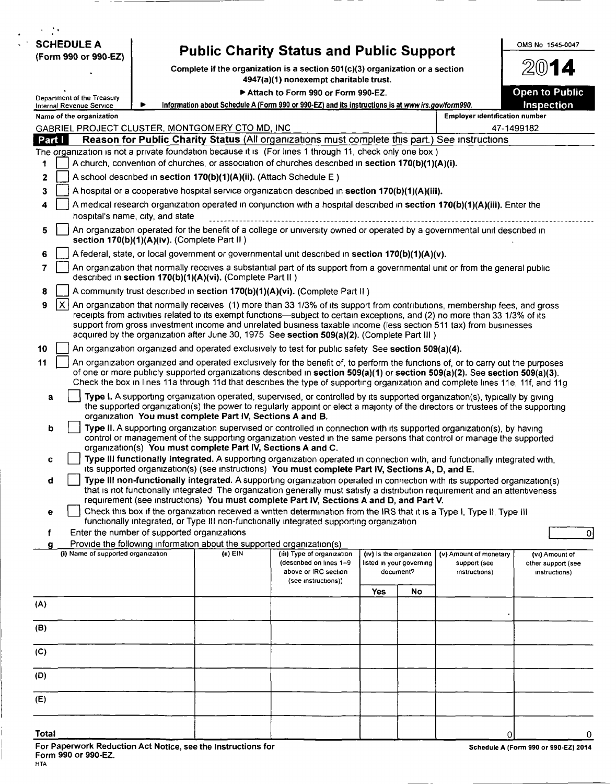|                | <b>SCHEDULE A</b><br>(Form 990 or 990-EZ)                                                        |                                                                                                                         |                                                                       | <b>Public Charity Status and Public Support</b>                                                                                                                                                                                                                                                                                                                                                                                                                               |     |                                                                   |                                                         | OMB No 1545-0047                                      |
|----------------|--------------------------------------------------------------------------------------------------|-------------------------------------------------------------------------------------------------------------------------|-----------------------------------------------------------------------|-------------------------------------------------------------------------------------------------------------------------------------------------------------------------------------------------------------------------------------------------------------------------------------------------------------------------------------------------------------------------------------------------------------------------------------------------------------------------------|-----|-------------------------------------------------------------------|---------------------------------------------------------|-------------------------------------------------------|
|                |                                                                                                  | Complete if the organization is a section 501(c)(3) organization or a section<br>4947(a)(1) nonexempt charitable trust. |                                                                       |                                                                                                                                                                                                                                                                                                                                                                                                                                                                               |     |                                                                   |                                                         |                                                       |
|                |                                                                                                  |                                                                                                                         |                                                                       | Attach to Form 990 or Form 990-EZ.                                                                                                                                                                                                                                                                                                                                                                                                                                            |     |                                                                   |                                                         | <b>Open to Public</b>                                 |
|                | Department of the Treasury<br>Internal Revenue Service                                           |                                                                                                                         |                                                                       | Information about Schedule A (Form 990 or 990-EZ) and its instructions is at www irs.gov/form990.                                                                                                                                                                                                                                                                                                                                                                             |     |                                                                   |                                                         | Inspection                                            |
|                | Name of the organization                                                                         |                                                                                                                         |                                                                       |                                                                                                                                                                                                                                                                                                                                                                                                                                                                               |     |                                                                   | <b>Employer identification number</b>                   |                                                       |
|                |                                                                                                  |                                                                                                                         | GABRIEL PROJECT CLUSTER, MONTGOMERY CTO MD, INC                       |                                                                                                                                                                                                                                                                                                                                                                                                                                                                               |     |                                                                   |                                                         | 47-1499182                                            |
| Part I         |                                                                                                  |                                                                                                                         |                                                                       | Reason for Public Charity Status (All organizations must complete this part.) See instructions<br>The organization is not a private foundation because it is (For lines 1 through 11, check only one box)                                                                                                                                                                                                                                                                     |     |                                                                   |                                                         |                                                       |
| 1              |                                                                                                  |                                                                                                                         |                                                                       | A church, convention of churches, or association of churches described in section 170(b)(1)(A)(i).                                                                                                                                                                                                                                                                                                                                                                            |     |                                                                   |                                                         |                                                       |
| $\overline{2}$ |                                                                                                  |                                                                                                                         | A school described in section 170(b)(1)(A)(ii). (Attach Schedule E)   |                                                                                                                                                                                                                                                                                                                                                                                                                                                                               |     |                                                                   |                                                         |                                                       |
| 3              |                                                                                                  |                                                                                                                         |                                                                       | A hospital or a cooperative hospital service organization described in section 170(b)(1)(A)(iii).                                                                                                                                                                                                                                                                                                                                                                             |     |                                                                   |                                                         |                                                       |
| 4              | hospital's name, city, and state                                                                 |                                                                                                                         |                                                                       | A medical research organization operated in conjunction with a hospital described in section 170(b)(1)(A)(iii). Enter the                                                                                                                                                                                                                                                                                                                                                     |     |                                                                   |                                                         |                                                       |
| 5              | section 170(b)(1)(A)(iv). (Complete Part II)                                                     |                                                                                                                         |                                                                       | An organization operated for the benefit of a college or university owned or operated by a governmental unit described in                                                                                                                                                                                                                                                                                                                                                     |     |                                                                   |                                                         |                                                       |
| 6              | A federal, state, or local government or governmental unit described in section 170(b)(1)(A)(v). |                                                                                                                         |                                                                       |                                                                                                                                                                                                                                                                                                                                                                                                                                                                               |     |                                                                   |                                                         |                                                       |
| $\overline{7}$ |                                                                                                  |                                                                                                                         | described in section 170(b)(1)(A)(vi). (Complete Part II)             | An organization that normally receives a substantial part of its support from a governmental unit or from the general public                                                                                                                                                                                                                                                                                                                                                  |     |                                                                   |                                                         |                                                       |
| 8              |                                                                                                  |                                                                                                                         |                                                                       | A community trust described in section 170(b)(1)(A)(vi). (Complete Part II )                                                                                                                                                                                                                                                                                                                                                                                                  |     |                                                                   |                                                         |                                                       |
| 9              | $\mathsf{X}$                                                                                     |                                                                                                                         |                                                                       | An organization that normally receives (1) more than 33 1/3% of its support from contributions, membership fees, and gross<br>receipts from activities related to its exempt functions—subject to certain exceptions, and (2) no more than 33 1/3% of its<br>support from gross investment income and unrelated business taxable income (less section 511 tax) from businesses<br>acquired by the organization after June 30, 1975 See section 509(a)(2). (Complete Part III) |     |                                                                   |                                                         |                                                       |
| 10             |                                                                                                  |                                                                                                                         |                                                                       | An organization organized and operated exclusively to test for public safety See section 509(a)(4).                                                                                                                                                                                                                                                                                                                                                                           |     |                                                                   |                                                         |                                                       |
| 11             |                                                                                                  |                                                                                                                         |                                                                       | An organization organized and operated exclusively for the benefit of, to perform the functions of, or to carry out the purposes<br>of one or more publicly supported organizations described in section 509(a)(1) or section 509(a)(2). See section 509(a)(3).<br>Check the box in lines 11a through 11d that describes the type of supporting organization and complete lines 11e, 11f, and 11g                                                                             |     |                                                                   |                                                         |                                                       |
| a              |                                                                                                  |                                                                                                                         | organization You must complete Part IV, Sections A and B.             | Type I. A supporting organization operated, supervised, or controlled by its supported organization(s), typically by giving<br>the supported organization(s) the power to regularly appoint or elect a majority of the directors or trustees of the supporting                                                                                                                                                                                                                |     |                                                                   |                                                         |                                                       |
| b              |                                                                                                  |                                                                                                                         | organization(s) You must complete Part IV, Sections A and C.          | Type II. A supporting organization supervised or controlled in connection with its supported organization(s), by having<br>control or management of the supporting organization vested in the same persons that control or manage the supported                                                                                                                                                                                                                               |     |                                                                   |                                                         |                                                       |
| c              |                                                                                                  |                                                                                                                         |                                                                       | Type III functionally integrated. A supporting organization operated in connection with, and functionally integrated with,<br>its supported organization(s) (see instructions) You must complete Part IV, Sections A, D, and E.                                                                                                                                                                                                                                               |     |                                                                   |                                                         |                                                       |
| d              |                                                                                                  |                                                                                                                         |                                                                       | Type III non-functionally integrated. A supporting organization operated in connection with its supported organization(s)<br>that is not functionally integrated The organization generally must satisfy a distribution requirement and an attentiveness<br>requirement (see instructions) You must complete Part IV, Sections A and D, and Part V.                                                                                                                           |     |                                                                   |                                                         |                                                       |
| е              |                                                                                                  |                                                                                                                         |                                                                       | Check this box if the organization received a written determination from the IRS that it is a Type I, Type II, Type III<br>functionally integrated, or Type III non-functionally integrated supporting organization                                                                                                                                                                                                                                                           |     |                                                                   |                                                         |                                                       |
| f<br>a         | Enter the number of supported organizations                                                      |                                                                                                                         | Provide the following information about the supported organization(s) |                                                                                                                                                                                                                                                                                                                                                                                                                                                                               |     |                                                                   |                                                         |                                                       |
|                | (i) Name of supported organization                                                               |                                                                                                                         | $(0)$ EIN                                                             | (iii) Type of organization<br>(described on lines 1-9<br>above or IRC section                                                                                                                                                                                                                                                                                                                                                                                                 |     | (iv) is the organization<br>listed in your governing<br>document? | (v) Amount of monetary<br>support (see<br>instructions) | (vi) Amount of<br>other support (see<br>instructions) |
|                |                                                                                                  |                                                                                                                         |                                                                       | (see instructions))                                                                                                                                                                                                                                                                                                                                                                                                                                                           |     |                                                                   |                                                         |                                                       |
| (A)            |                                                                                                  |                                                                                                                         |                                                                       |                                                                                                                                                                                                                                                                                                                                                                                                                                                                               | Yes | No                                                                |                                                         |                                                       |
|                |                                                                                                  |                                                                                                                         |                                                                       |                                                                                                                                                                                                                                                                                                                                                                                                                                                                               |     |                                                                   |                                                         |                                                       |
| (B)            |                                                                                                  |                                                                                                                         |                                                                       |                                                                                                                                                                                                                                                                                                                                                                                                                                                                               |     |                                                                   |                                                         |                                                       |
| (C)            |                                                                                                  |                                                                                                                         |                                                                       |                                                                                                                                                                                                                                                                                                                                                                                                                                                                               |     |                                                                   |                                                         |                                                       |
| (D)            |                                                                                                  |                                                                                                                         |                                                                       |                                                                                                                                                                                                                                                                                                                                                                                                                                                                               |     |                                                                   |                                                         |                                                       |
| (E)            |                                                                                                  |                                                                                                                         |                                                                       |                                                                                                                                                                                                                                                                                                                                                                                                                                                                               |     |                                                                   |                                                         |                                                       |
| <b>Total</b>   |                                                                                                  |                                                                                                                         |                                                                       |                                                                                                                                                                                                                                                                                                                                                                                                                                                                               |     |                                                                   | 0                                                       |                                                       |

 $\overline{\phantom{a}}$ 

 $\overline{\phantom{a}}$ 

 $\cdot$   $-$